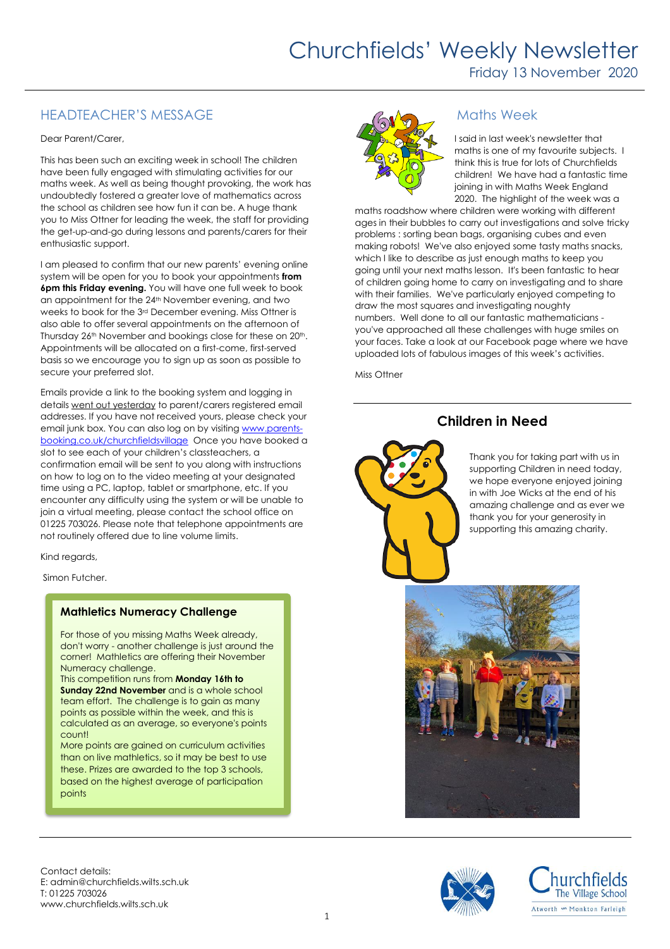## HEADTEACHER'S MESSAGE

#### Dear Parent/Carer,

This has been such an exciting week in school! The children have been fully engaged with stimulating activities for our maths week. As well as being thought provoking, the work has undoubtedly fostered a greater love of mathematics across the school as children see how fun it can be. A huge thank you to Miss Ottner for leading the week, the staff for providing the get-up-and-go during lessons and parents/carers for their enthusiastic support.

I am pleased to confirm that our new parents' evening online system will be open for you to book your appointments **from 6pm this Friday evening.** You will have one full week to book an appointment for the 24<sup>th</sup> November evening, and two weeks to book for the 3rd December evening. Miss Ottner is also able to offer several appointments on the afternoon of Thursday 26<sup>th</sup> November and bookings close for these on 20<sup>th</sup>. Appointments will be allocated on a first-come, first-served basis so we encourage you to sign up as soon as possible to secure your preferred slot.

Emails provide a link to the booking system and logging in details went out yesterday to parent/carers registered email addresses. If you have not received yours, please check your email junk box. You can also log on by visiting [www.parents](http://www.parents-booking.co.uk/churchfieldsvillage)[booking.co.uk/churchfieldsvillage](http://www.parents-booking.co.uk/churchfieldsvillage) Once you have booked a slot to see each of your children's classteachers, a confirmation email will be sent to you along with instructions on how to log on to the video meeting at your designated time using a PC, laptop, tablet or smartphone, etc. If you encounter any difficulty using the system or will be unable to join a virtual meeting, please contact the school office on 01225 703026. Please note that telephone appointments are not routinely offered due to line volume limits.

Kind regards,

Simon Futcher.

### **Mathletics Numeracy Challenge**

For those of you missing Maths Week already, don't worry - another challenge is just around the corner! Mathletics are offering their November Numeracy challenge.

This competition runs from **Monday 16th to Sunday 22nd November** and is a whole school team effort. The challenge is to gain as many points as possible within the week, and this is calculated as an average, so everyone's points count!

More points are gained on curriculum activities than on live mathletics, so it may be best to use these. Prizes are awarded to the top 3 schools, based on the highest average of participation points



## Maths Week

I said in last week's newsletter that maths is one of my favourite subjects. I think this is true for lots of Churchfields children! We have had a fantastic time joining in with Maths Week England 2020. The highlight of the week was a

maths roadshow where children were working with different ages in their bubbles to carry out investigations and solve tricky problems : sorting bean bags, organising cubes and even making robots! We've also enjoyed some tasty maths snacks, which I like to describe as just enough maths to keep you going until your next maths lesson. It's been fantastic to hear of children going home to carry on investigating and to share with their families. We've particularly enjoyed competing to draw the most squares and investigating noughty numbers. Well done to all our fantastic mathematicians you've approached all these challenges with huge smiles on your faces. Take a look at our Facebook page where we have uploaded lots of fabulous images of this week's activities.

Miss Ottner

## **Children in Need**



Thank you for taking part with us in supporting Children in need today, we hope everyone enjoyed joining in with Joe Wicks at the end of his amazing challenge and as ever we thank you for your generosity in supporting this amazing charity.



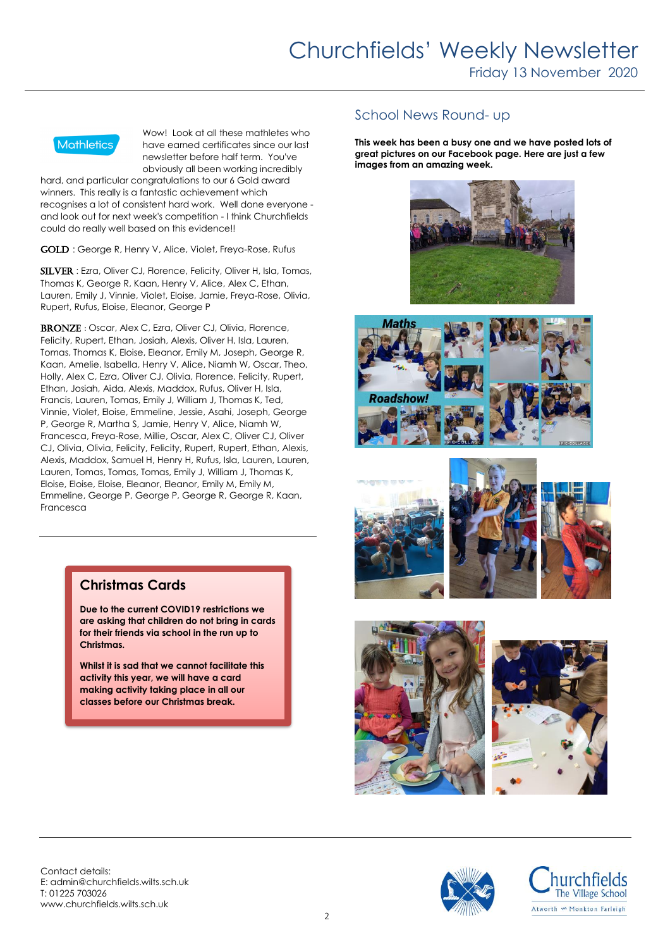

Wow! Look at all these mathletes who have earned certificates since our last newsletter before half term. You've obviously all been working incredibly

hard, and particular congratulations to our 6 Gold award winners. This really is a fantastic achievement which recognises a lot of consistent hard work. Well done everyone and look out for next week's competition - I think Churchfields could do really well based on this evidence!!

GOLD : George R, Henry V, Alice, Violet, Freya-Rose, Rufus

SILVER : Ezra, Oliver CJ, Florence, Felicity, Oliver H, Isla, Tomas, Thomas K, George R, Kaan, Henry V, Alice, Alex C, Ethan, Lauren, Emily J, Vinnie, Violet, Eloise, Jamie, Freya-Rose, Olivia, Rupert, Rufus, Eloise, Eleanor, George P

BRONZE: Oscar, Alex C, Ezra, Oliver CJ, Olivia, Florence, Felicity, Rupert, Ethan, Josiah, Alexis, Oliver H, Isla, Lauren, Tomas, Thomas K, Eloise, Eleanor, Emily M, Joseph, George R, Kaan, Amelie, Isabella, Henry V, Alice, Niamh W, Oscar, Theo, Holly, Alex C, Ezra, Oliver CJ, Olivia, Florence, Felicity, Rupert, Ethan, Josiah, Aida, Alexis, Maddox, Rufus, Oliver H, Isla, Francis, Lauren, Tomas, Emily J, William J, Thomas K, Ted, Vinnie, Violet, Eloise, Emmeline, Jessie, Asahi, Joseph, George P, George R, Martha S, Jamie, Henry V, Alice, Niamh W, Francesca, Freya-Rose, Millie, Oscar, Alex C, Oliver CJ, Oliver CJ, Olivia, Olivia, Felicity, Felicity, Rupert, Rupert, Ethan, Alexis, Alexis, Maddox, Samuel H, Henry H, Rufus, Isla, Lauren, Lauren, Lauren, Tomas, Tomas, Tomas, Emily J, William J, Thomas K, Eloise, Eloise, Eloise, Eleanor, Eleanor, Emily M, Emily M, Emmeline, George P, George P, George R, George R, Kaan, Francesca

## School News Round- up

**This week has been a busy one and we have posted lots of great pictures on our Facebook page. Here are just a few images from an amazing week.** 















**Christmas Cards** 

**Due to the current COVID19 restrictions we are asking that children do not bring in cards for their friends via school in the run up to Christmas.**

**Whilst it is sad that we cannot facilitate this activity this year, we will have a card making activity taking place in all our classes before our Christmas break.** 

Contact details: E: admin@churchfields.wilts.sch.uk T: 01225 703026 www.churchfields.wilts.sch.uk